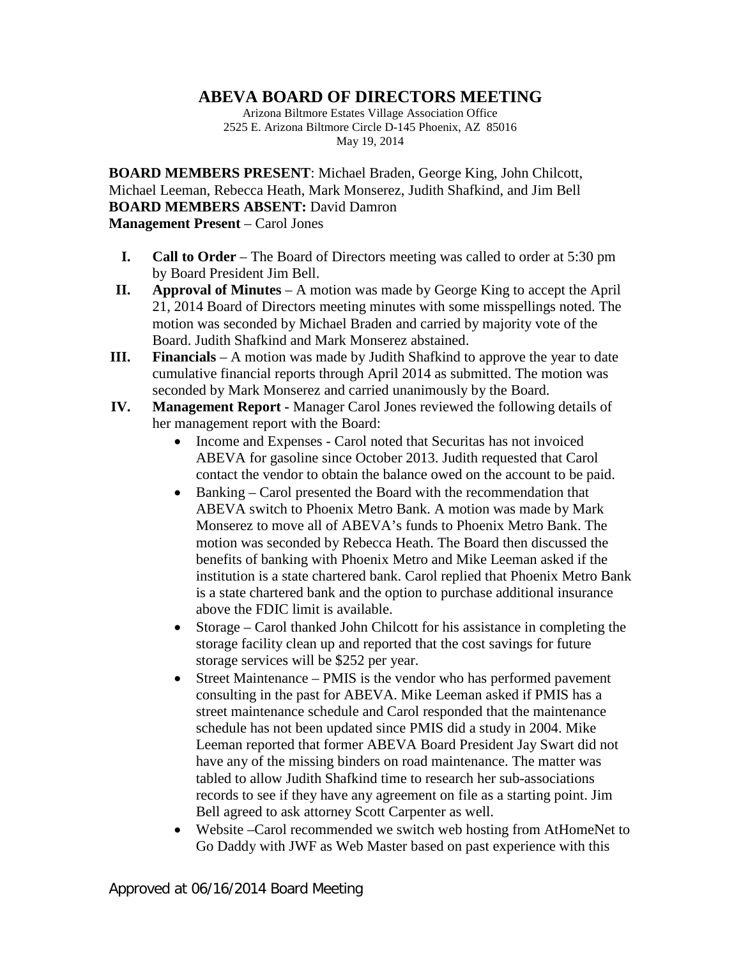## **ABEVA BOARD OF DIRECTORS MEETING**

Arizona Biltmore Estates Village Association Office 2525 E. Arizona Biltmore Circle D-145 Phoenix, AZ 85016 May 19, 2014

**BOARD MEMBERS PRESENT**: Michael Braden, George King, John Chilcott, Michael Leeman, Rebecca Heath, Mark Monserez, Judith Shafkind, and Jim Bell **BOARD MEMBERS ABSENT:** David Damron **Management Present** – Carol Jones

- **I. Call to Order** The Board of Directors meeting was called to order at 5:30 pm by Board President Jim Bell.
- **II. Approval of Minutes** A motion was made by George King to accept the April 21, 2014 Board of Directors meeting minutes with some misspellings noted. The motion was seconded by Michael Braden and carried by majority vote of the Board. Judith Shafkind and Mark Monserez abstained.
- **III. Financials** A motion was made by Judith Shafkind to approve the year to date cumulative financial reports through April 2014 as submitted. The motion was seconded by Mark Monserez and carried unanimously by the Board.
- **IV. Management Report -** Manager Carol Jones reviewed the following details of her management report with the Board:
	- Income and Expenses Carol noted that Securitas has not invoiced ABEVA for gasoline since October 2013. Judith requested that Carol contact the vendor to obtain the balance owed on the account to be paid.
	- Banking Carol presented the Board with the recommendation that ABEVA switch to Phoenix Metro Bank. A motion was made by Mark Monserez to move all of ABEVA's funds to Phoenix Metro Bank. The motion was seconded by Rebecca Heath. The Board then discussed the benefits of banking with Phoenix Metro and Mike Leeman asked if the institution is a state chartered bank. Carol replied that Phoenix Metro Bank is a state chartered bank and the option to purchase additional insurance above the FDIC limit is available.
	- Storage Carol thanked John Chilcott for his assistance in completing the storage facility clean up and reported that the cost savings for future storage services will be \$252 per year.
	- Street Maintenance PMIS is the vendor who has performed pavement consulting in the past for ABEVA. Mike Leeman asked if PMIS has a street maintenance schedule and Carol responded that the maintenance schedule has not been updated since PMIS did a study in 2004. Mike Leeman reported that former ABEVA Board President Jay Swart did not have any of the missing binders on road maintenance. The matter was tabled to allow Judith Shafkind time to research her sub-associations records to see if they have any agreement on file as a starting point. Jim Bell agreed to ask attorney Scott Carpenter as well.
	- Website –Carol recommended we switch web hosting from AtHomeNet to Go Daddy with JWF as Web Master based on past experience with this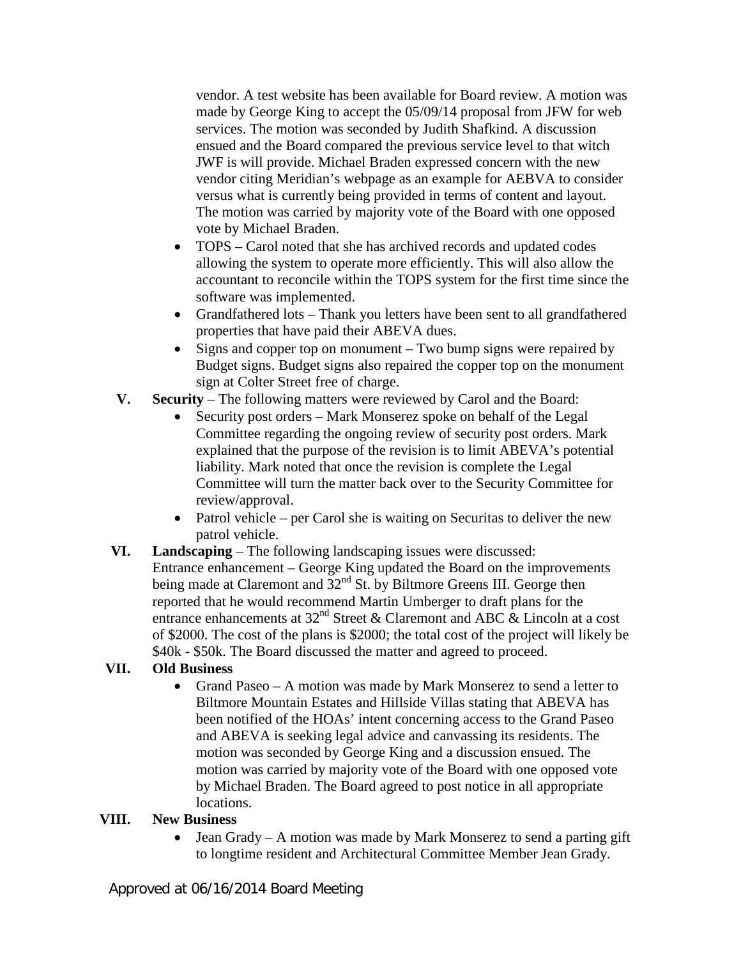vendor. A test website has been available for Board review. A motion was made by George King to accept the 05/09/14 proposal from JFW for web services. The motion was seconded by Judith Shafkind. A discussion ensued and the Board compared the previous service level to that witch JWF is will provide. Michael Braden expressed concern with the new vendor citing Meridian's webpage as an example for AEBVA to consider versus what is currently being provided in terms of content and layout. The motion was carried by majority vote of the Board with one opposed vote by Michael Braden.

- TOPS Carol noted that she has archived records and updated codes allowing the system to operate more efficiently. This will also allow the accountant to reconcile within the TOPS system for the first time since the software was implemented.
- Grandfathered lots Thank you letters have been sent to all grandfathered properties that have paid their ABEVA dues.
- Signs and copper top on monument Two bump signs were repaired by Budget signs. Budget signs also repaired the copper top on the monument sign at Colter Street free of charge.
- **V. Security** The following matters were reviewed by Carol and the Board:
	- Security post orders Mark Monserez spoke on behalf of the Legal Committee regarding the ongoing review of security post orders. Mark explained that the purpose of the revision is to limit ABEVA's potential liability. Mark noted that once the revision is complete the Legal Committee will turn the matter back over to the Security Committee for review/approval.
	- Patrol vehicle per Carol she is waiting on Securitas to deliver the new patrol vehicle.
- **VI. Landscaping** The following landscaping issues were discussed: Entrance enhancement – George King updated the Board on the improvements being made at Claremont and  $32<sup>nd</sup>$  St. by Biltmore Greens III. George then reported that he would recommend Martin Umberger to draft plans for the entrance enhancements at  $32<sup>nd</sup>$  Street & Claremont and ABC & Lincoln at a cost of \$2000. The cost of the plans is \$2000; the total cost of the project will likely be \$40k - \$50k. The Board discussed the matter and agreed to proceed.

## **VII. Old Business**

• Grand Paseo – A motion was made by Mark Monserez to send a letter to Biltmore Mountain Estates and Hillside Villas stating that ABEVA has been notified of the HOAs' intent concerning access to the Grand Paseo and ABEVA is seeking legal advice and canvassing its residents. The motion was seconded by George King and a discussion ensued. The motion was carried by majority vote of the Board with one opposed vote by Michael Braden. The Board agreed to post notice in all appropriate locations.

## **VIII. New Business**

• Jean Grady – A motion was made by Mark Monserez to send a parting gift to longtime resident and Architectural Committee Member Jean Grady.